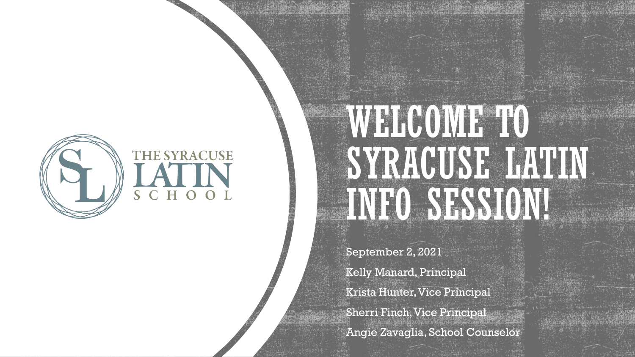

# WELCOME TO SYRACUSE LATIN INFO SESSION!

September 2, 2021 Kelly Manard, Principal Krista Hunter, Vice Principal Sherri Finch, Vice Principal Angie Zavaglia, School Counselor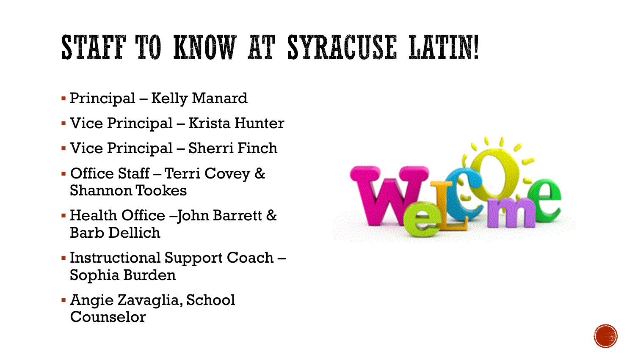## STAFF TO KNOW AT SYRACUSE LATIN!

- Principal Kelly Manard
- Vice Principal Krista Hunter
- Vice Principal Sherri Finch
- Office Staff Terri Covey & Shannon Tookes
- Health Office –John Barrett & Barb Dellich
- Instructional Support Coach Sophia Burden
- **Angie Zavaglia, School** Counselor



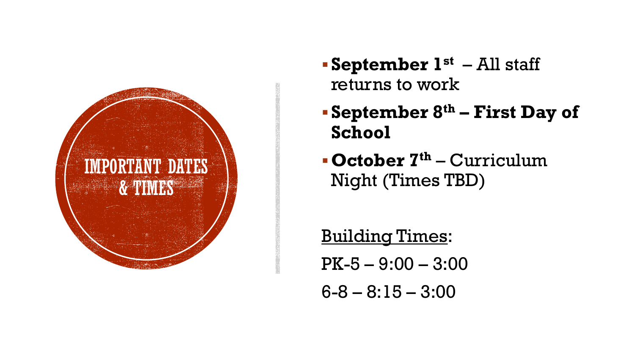

- ▪**September 1st** All staff returns to work
- ▪**September 8th – First Day of School**
- ▪**October 7th** Curriculum Night (Times TBD)

Building Times: PK-5 – 9:00 – 3:00 6-8 – 8:15 – 3:00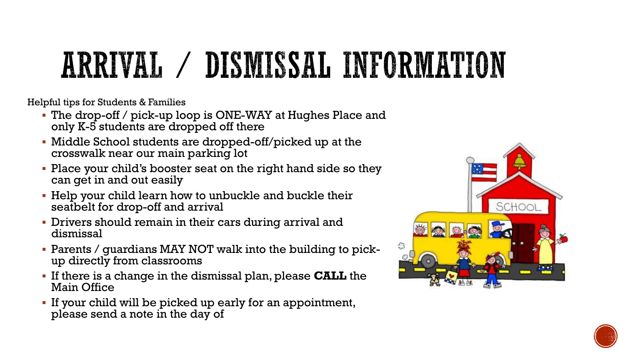# ARRIVAL / DISMISSAL INFORMATION

Helpful tips for Students & Families

- The drop-off / pick-up loop is ONE-WAY at Hughes Place and only K-5 students are dropped off there
- Middle School students are dropped-off/picked up at the crosswalk near our main parking lot
- Place your child's booster seat on the right hand side so they can get in and out easily
- **EXECT** Help your child learn how to unbuckle and buckle their seatbelt for drop-off and arrival
- **Drivers should remain in their cars during arrival and** dismissal
- Parents / guardians MAY NOT walk into the building to pickup directly from classrooms
- If there is a change in the dismissal plan, please **CALL** the Main Office
- If your child will be picked up early for an appointment, please send a note in the day of



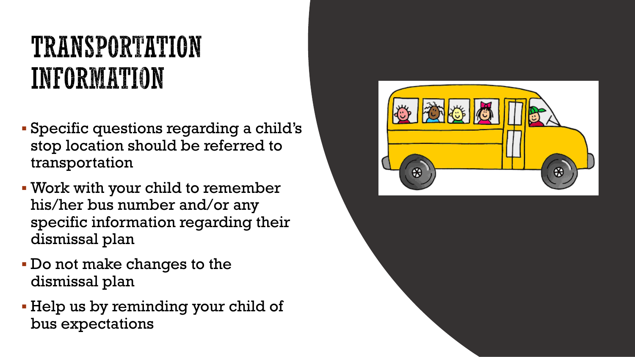#### TRANSPORTATION INFORMATION

- Specific questions regarding a child's stop location should be referred to transportation
- Work with your child to remember his/her bus number and/or any specific information regarding their dismissal plan
- Do not make changes to the dismissal plan
- Help us by reminding your child of bus expectations

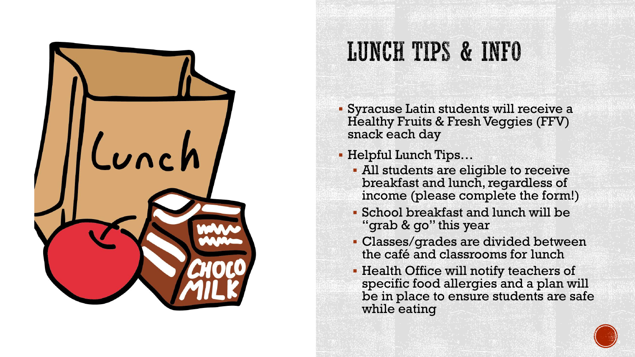

#### **LUNCH TIPS & INFO**

- Syracuse Latin students will receive a Healthy Fruits & Fresh Veggies (FFV) snack each day
- Helpful Lunch Tips…
	- All students are eligible to receive breakfast and lunch, regardless of income (please complete the form!)
	- School breakfast and lunch will be "grab & go" this year
	- Classes/grades are divided between the café and classrooms for lunch
	- **Health Office will notify teachers of** specific food allergies and a plan will be in place to ensure students are safe while eating

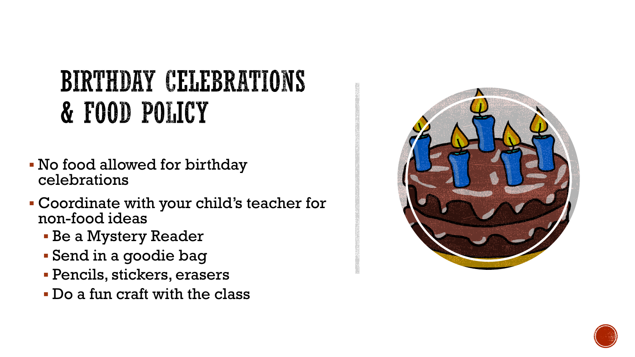#### BIRTHDAY CELEBRATIONS & FOOD POLICY

- No food allowed for birthday celebrations
- Coordinate with your child's teacher for non-food ideas
	- **Be a Mystery Reader**
	- Send in a goodie bag
	- Pencils, stickers, erasers
	- Do a fun craft with the class



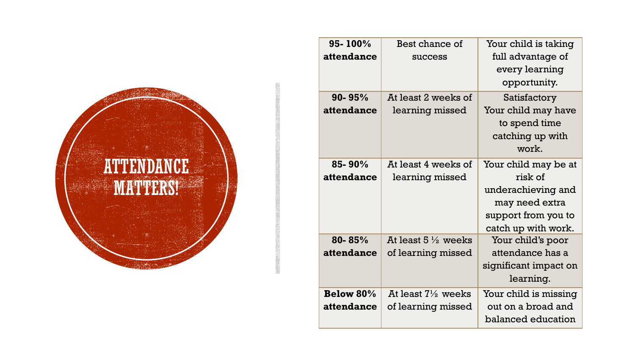

| 95-100%<br>attendance | Best chance of<br><b>success</b> | Your child is taking<br>full advantage of<br>every learning<br>opportunity. |
|-----------------------|----------------------------------|-----------------------------------------------------------------------------|
| $90 - 95%$            | At least 2 weeks of              | Satisfactory                                                                |
| attendance            | learning missed                  | Your child may have<br>to spend time<br>catching up with<br>work.           |
| $85 - 90\%$           | At least 4 weeks of              | Your child may be at                                                        |
| attendance            | learning missed                  | risk of                                                                     |
|                       |                                  | underachieving and                                                          |
|                       |                                  | may need extra                                                              |
|                       |                                  | support from you to                                                         |
|                       |                                  | catch up with work.                                                         |
| 80-85%                | At least $5\frac{1}{2}$ weeks    | Your child's poor                                                           |
| attendance            | of learning missed               | attendance has a                                                            |
|                       |                                  | significant impact on                                                       |
|                       |                                  | learning.                                                                   |
| <b>Below 80%</b>      | At least $7\frac{1}{2}$ weeks    | Your child is missing                                                       |
| attendance            | of learning missed               | out on a broad and                                                          |
|                       |                                  | balanced education                                                          |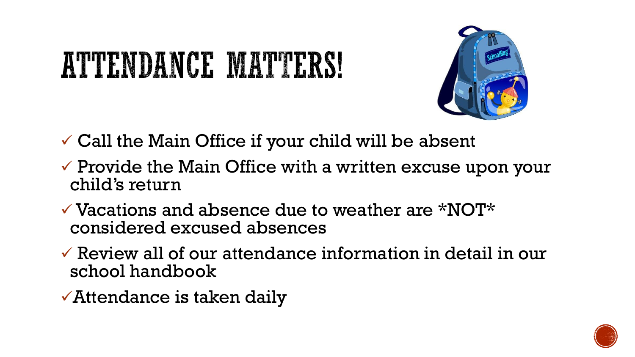# ATTENDANCE MATTERS!



- $\checkmark$  Call the Main Office if your child will be absent
- $\checkmark$  Provide the Main Office with a written excuse upon your child's return
- $\checkmark$  Vacations and absence due to weather are \*NOT\* considered excused absences
- $\checkmark$  Review all of our attendance information in detail in our school handbook
- ✓Attendance is taken daily

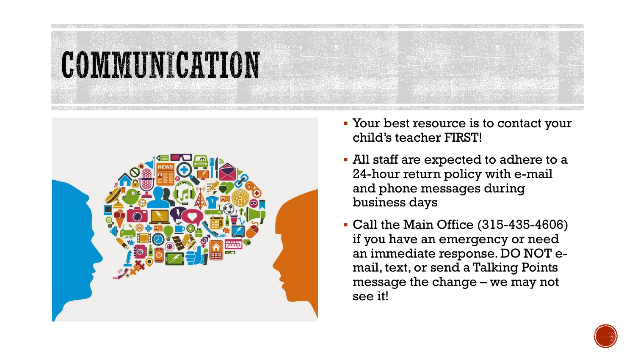



- Your best resource is to contact your child's teacher FIRST!
- All staff are expected to adhere to a 24-hour return policy with e-mail and phone messages during business days
- Call the Main Office (315-435-4606) if you have an emergency or need an immediate response. DO NOT email, text, or send a Talking Points message the change – we may not see it!

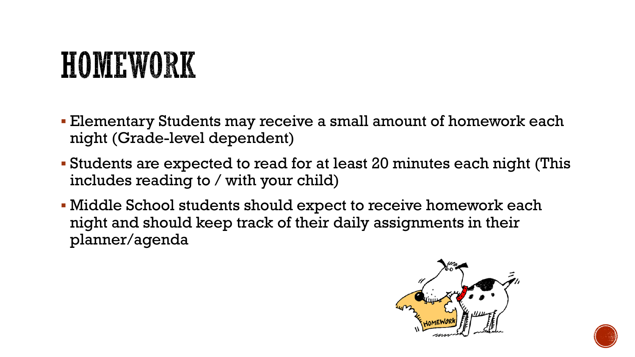## HOMEWORK

- Elementary Students may receive a small amount of homework each night (Grade-level dependent)
- Students are expected to read for at least 20 minutes each night (This includes reading to / with your child)
- Middle School students should expect to receive homework each night and should keep track of their daily assignments in their planner/agenda



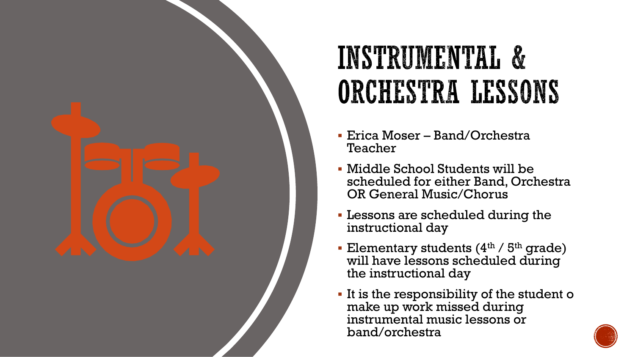

### INSTRUMENTAL & ORCHESTRA LESSONS

- Erica Moser Band/Orchestra Teacher
- Middle School Students will be scheduled for either Band, Orchestra OR General Music/Chorus
- **Exercise 1** Lessons are scheduled during the instructional day
- **Elementary students (4th / 5th grade)** will have lessons scheduled during the instructional day
- It is the responsibility of the student o make up work missed during instrumental music lessons or band/orchestra

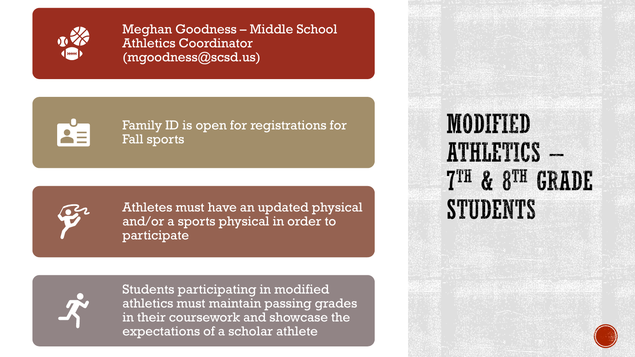

Meghan Goodness – Middle School Athletics Coordinator (mgoodness@scsd.us)

Family ID is open for registrations for Fall sports



Athletes must have an updated physical and/or a sports physical in order to participate



Students participating in modified athletics must maintain passing grades in their coursework and showcase the expectations of a scholar athlete

#### **MODIFIED** ATHLETICS -7TH & 8TH GRADE **STUDENTS**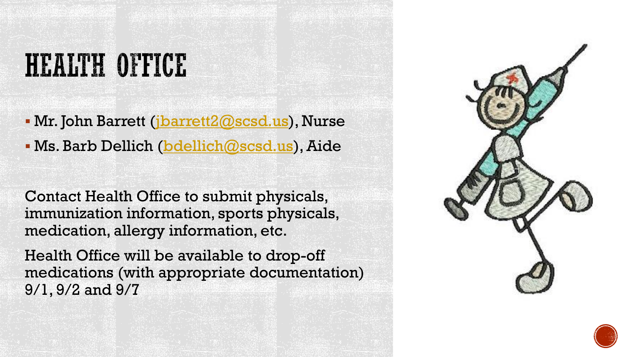#### HEALTH OFFICE

**• Mr. John Barrett (j<u>barrett2@scsd.us</u>), Nurse** 

**K. Barb Dellich [\(bdellich@scsd.us](mailto:bdellich@scsd.us)), Aide** 

Contact Health Office to submit physicals, immunization information, sports physicals, medication, allergy information, etc.

Health Office will be available to drop-off medications (with appropriate documentation) 9/1, 9/2 and 9/7



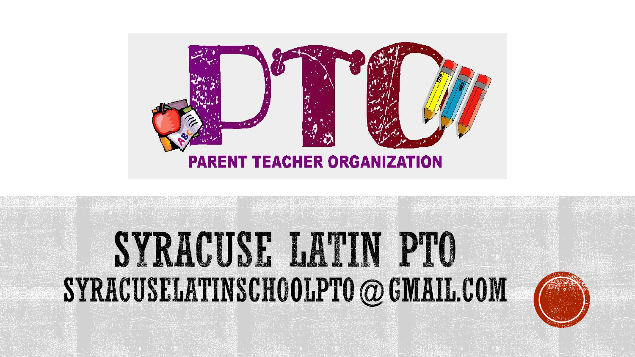

# SYRACUSE LATIN PTO SYRACUSELATINSCHOLPTO @ GMAIL.COM